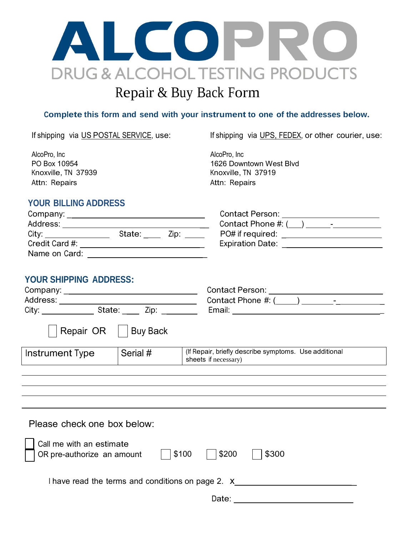

## **Complete this form and send with your instrument to one of the addresses below.**

If shipping via US POSTAL SERVICE, use: If shipping via UPS, FEDEX, or other courier, use:

AlcoPro, Inc PO Box 10954 Knoxville, TN 37939 Attn: Repairs

AlcoPro, Inc 1626 Downtown West Blvd Knoxville, TN 37919 Attn: Repairs

## **YOUR BILLING ADDRESS**

| Company:       |                | Contact Person:          |
|----------------|----------------|--------------------------|
| Address:       |                | Contact Phone $\#$ : $($ |
| City:          | State:<br>ZID: | PO# if required:         |
| Credit Card #: |                | <b>Expiration Date:</b>  |
| Name on Card:  |                |                          |

| <b>Contact Person:</b>  |
|-------------------------|
| Contact Phone #: (      |
| PO# if required:        |
| <b>Expiration Date:</b> |

## **YOUR SHIPPING ADDRESS:**

| Company: _____________________________<br>City: State: Zip: |                 | Contact Person: ____________________________<br>Contact Phone $\#$ : ( ) - The set of $\#$ : ( ) and $\#$ : ( ) and $\#$ : ( ) and $\#$ and $\#$ : ( ) and $\#$ and $\#$ and $\#$ and $\#$ and $\#$ and $\#$ and $\#$ and $\#$ and $\#$ and $\#$ and $\#$ and $\#$ and $\#$ and $\$ |  |  |
|-------------------------------------------------------------|-----------------|-------------------------------------------------------------------------------------------------------------------------------------------------------------------------------------------------------------------------------------------------------------------------------------|--|--|
| Repair OR                                                   | <b>Buy Back</b> |                                                                                                                                                                                                                                                                                     |  |  |
| Instrument Type                                             | Serial #        | (If Repair, briefly describe symptoms. Use additional<br>sheets if necessary)                                                                                                                                                                                                       |  |  |
|                                                             |                 |                                                                                                                                                                                                                                                                                     |  |  |
|                                                             |                 |                                                                                                                                                                                                                                                                                     |  |  |
|                                                             |                 |                                                                                                                                                                                                                                                                                     |  |  |
|                                                             |                 |                                                                                                                                                                                                                                                                                     |  |  |
| Please check one box below:                                 |                 |                                                                                                                                                                                                                                                                                     |  |  |
| Call me with an estimate<br>OR pre-authorize an amount      | \$100           | \$300<br>\$200                                                                                                                                                                                                                                                                      |  |  |

I have read the terms and conditions on page 2. X

Date: **Date: Date:**